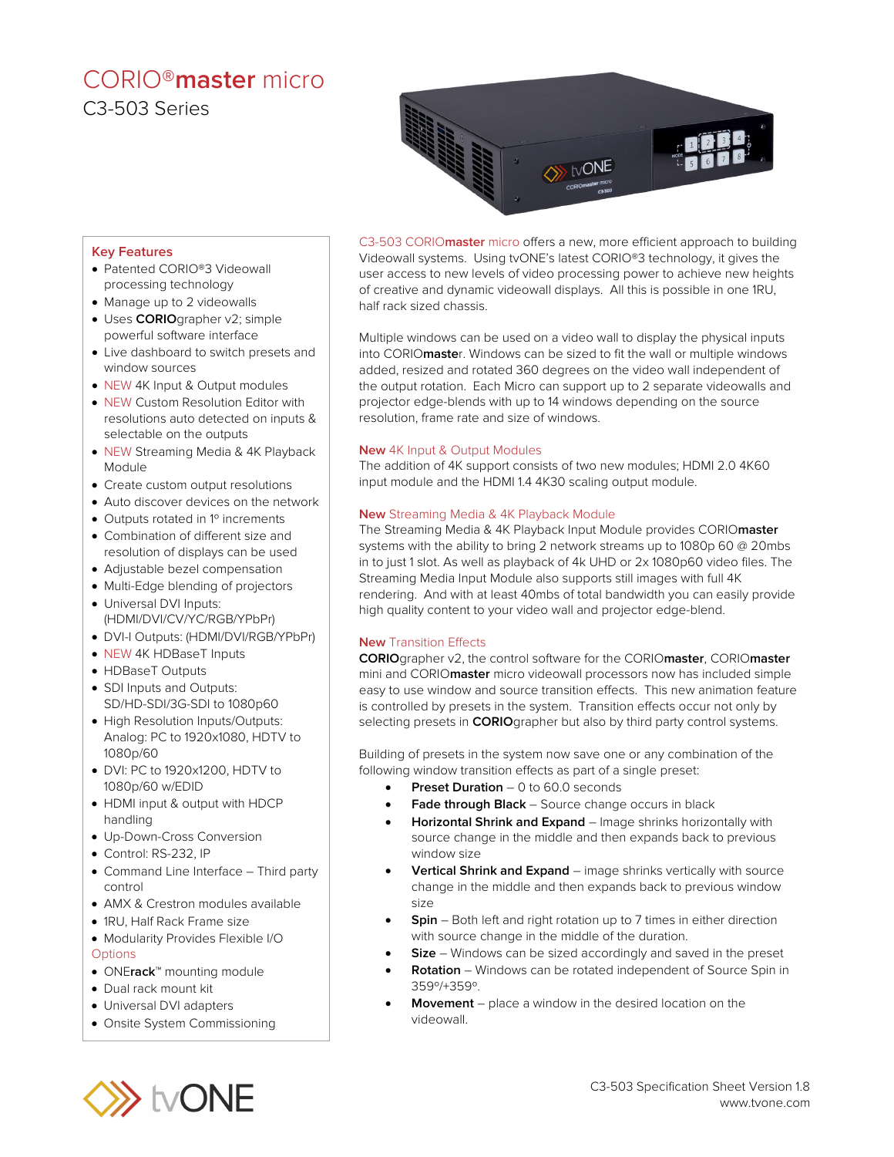## CORIO®**master** micro C3-503 Series



#### **Key Features**

- Patented CORIO®3 Videowall processing technology
- Manage up to 2 videowalls
- Uses **CORIO**grapher v2; simple powerful software interface
- Live dashboard to switch presets and window sources
- NEW 4K Input & Output modules
- NEW Custom Resolution Editor with resolutions auto detected on inputs & selectable on the outputs
- NEW Streaming Media & 4K Playback Module
- Create custom output resolutions
- Auto discover devices on the network
- Outputs rotated in 1<sup>°</sup> increments
- Combination of different size and resolution of displays can be used
- Adjustable bezel compensation
- Multi-Edge blending of projectors
- Universal DVI Inputs: (HDMI/DVI/CV/YC/RGB/YPbPr)
- DVI-I Outputs: (HDMI/DVI/RGB/YPbPr)
- NEW 4K HDBaseT Inputs
- HDBaseT Outputs
- SDI Inputs and Outputs: SD/HD-SDI/3G-SDI to 1080p60
- High Resolution Inputs/Outputs: Analog: PC to 1920x1080, HDTV to 1080p/60
- DVI: PC to 1920x1200, HDTV to 1080p/60 w/EDID
- HDMI input & output with HDCP handling
- Up-Down-Cross Conversion
- Control: RS-232, IP
- Command Line Interface Third party control
- AMX & Crestron modules available
- 1RU, Half Rack Frame size
- Modularity Provides Flexible I/O **Options**
- ONE**rack**™ mounting module
- Dual rack mount kit
- Universal DVI adapters
- Onsite System Commissioning

C3-503 CORIO**master** micro offers a new, more efficient approach to building Videowall systems. Using tvONE's latest CORIO®3 technology, it gives the user access to new levels of video processing power to achieve new heights of creative and dynamic videowall displays. All this is possible in one 1RU, half rack sized chassis.

Multiple windows can be used on a video wall to display the physical inputs into CORIO**maste**r. Windows can be sized to fit the wall or multiple windows added, resized and rotated 360 degrees on the video wall independent of the output rotation. Each Micro can support up to 2 separate videowalls and projector edge-blends with up to 14 windows depending on the source resolution, frame rate and size of windows.

#### **New** 4K Input & Output Modules

The addition of 4K support consists of two new modules; HDMI 2.0 4K60 input module and the HDMI 1.4 4K30 scaling output module.

#### **New** Streaming Media & 4K Playback Module

The Streaming Media & 4K Playback Input Module provides CORIO**master** systems with the ability to bring 2 network streams up to 1080p 60 @ 20mbs in to just 1 slot. As well as playback of 4k UHD or 2x 1080p60 video files. The Streaming Media Input Module also supports still images with full 4K rendering. And with at least 40mbs of total bandwidth you can easily provide high quality content to your video wall and projector edge-blend.

#### **New** Transition Effects

**CORIO**grapher v2, the control software for the CORIO**master**, CORIO**master** mini and CORIO**master** micro videowall processors now has included simple easy to use window and source transition effects. This new animation feature is controlled by presets in the system. Transition effects occur not only by selecting presets in **CORIO**grapher but also by third party control systems.

Building of presets in the system now save one or any combination of the following window transition effects as part of a single preset:

- **Preset Duration** 0 to 60.0 seconds
- Fade through Black Source change occurs in black
- **Horizontal Shrink and Expand** Image shrinks horizontally with source change in the middle and then expands back to previous window size
- **Vertical Shrink and Expand** image shrinks vertically with source change in the middle and then expands back to previous window size
- **Spin** Both left and right rotation up to 7 times in either direction with source change in the middle of the duration.
- **Size** Windows can be sized accordingly and saved in the preset
- **Rotation** Windows can be rotated independent of Source Spin in 359º/+359º.
- **Movement** place a window in the desired location on the videowall.

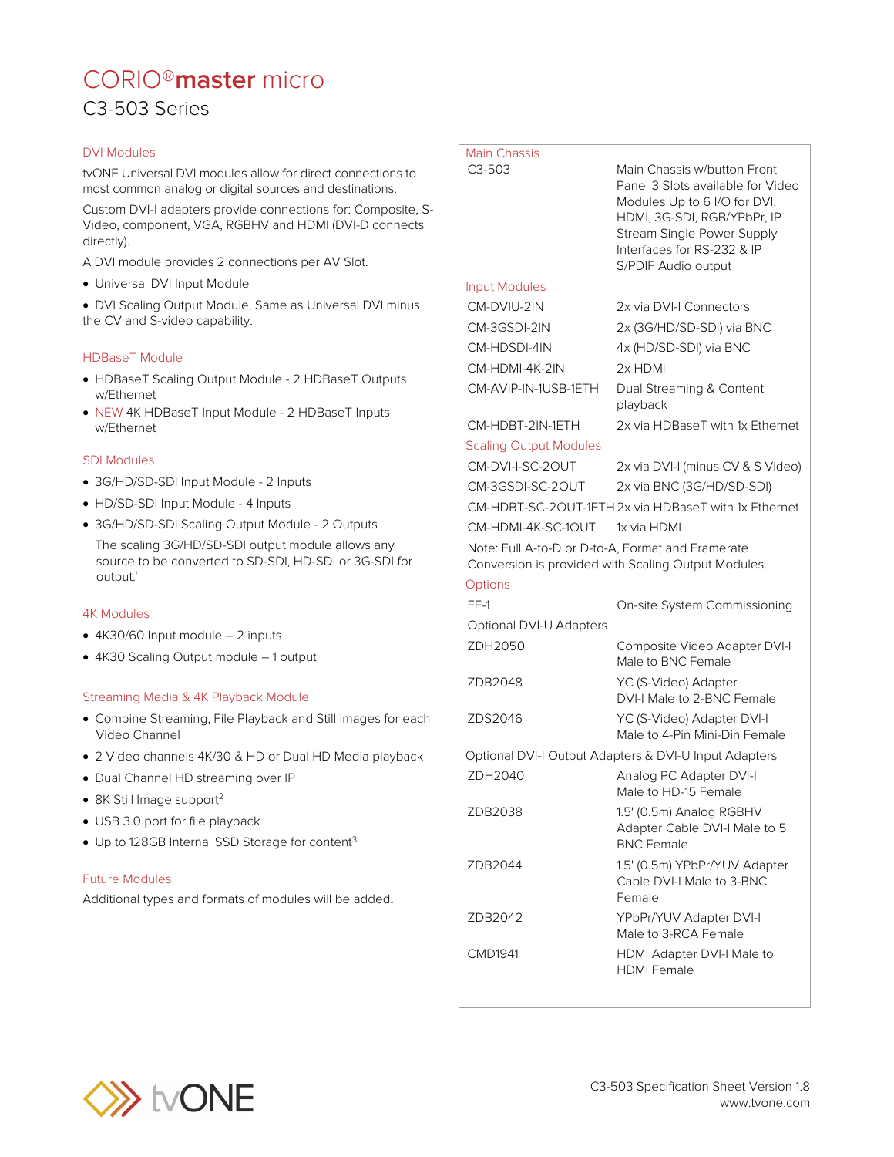## CORIO®**master** micro C3-503 Series

#### DVI Modules

tvONE Universal DVI modules allow for direct connections to most common analog or digital sources and destinations.

Custom DVI-I adapters provide connections for: Composite, S-Video, component, VGA, RGBHV and HDMI (DVI-D connects directly).

A DVI module provides 2 connections per AV Slot.

• Universal DVI Input Module

• DVI Scaling Output Module, Same as Universal DVI minus the CV and S-video capability.

#### HDBaseT Module

- HDBaseT Scaling Output Module 2 HDBaseT Outputs w/Ethernet
- NEW 4K HDBaseT Input Module 2 HDBaseT Inputs w/Ethernet

#### SDI Modules

- 3G/HD/SD-SDI Input Module 2 Inputs
- HD/SD-SDI Input Module 4 Inputs
- 3G/HD/SD-SDI Scaling Output Module 2 Outputs The scaling 3G/HD/SD-SDI output module allows any source to be converted to SD-SDI, HD-SDI or 3G-SDI for output.<sup>†</sup>

#### 4K Modules

- 4K30/60 Input module 2 inputs
- 4K30 Scaling Output module 1 output

#### Streaming Media & 4K Playback Module

- Combine Streaming, File Playback and Still Images for each Video Channel
- 2 Video channels 4K/30 & HD or Dual HD Media playback
- Dual Channel HD streaming over IP
- 8K Still Image support<sup>2</sup>
- USB 3.0 port for file playback
- Up to 128GB Internal SSD Storage for content<sup>3</sup>

#### Future Modules

Additional types and formats of modules will be added.

| <b>Main Chassis</b><br>$C3-503$                                                                          | Main Chassis w/button Front<br>Panel 3 Slots available for Video<br>Modules Up to 6 I/O for DVI,<br>HDMI, 3G-SDI, RGB/YPbPr, IP<br>Stream Single Power Supply<br>Interfaces for RS-232 & IP<br>S/PDIF Audio output |
|----------------------------------------------------------------------------------------------------------|--------------------------------------------------------------------------------------------------------------------------------------------------------------------------------------------------------------------|
| <b>Input Modules</b>                                                                                     |                                                                                                                                                                                                                    |
| CM-DVIU-2IN                                                                                              | 2x via DVI-I Connectors                                                                                                                                                                                            |
| CM-3GSDI-2IN                                                                                             | 2x (3G/HD/SD-SDI) via BNC                                                                                                                                                                                          |
| CM-HDSDI-4IN                                                                                             | 4x (HD/SD-SDI) via BNC                                                                                                                                                                                             |
| CM-HDMI-4K-2IN                                                                                           | 2x HDMI                                                                                                                                                                                                            |
| CM-AVIP-IN-1USB-1ETH                                                                                     | Dual Streaming & Content<br>playback                                                                                                                                                                               |
| CM-HDBT-2IN-1ETH                                                                                         | 2x via HDBaseT with 1x Ethernet                                                                                                                                                                                    |
| <b>Scaling Output Modules</b>                                                                            |                                                                                                                                                                                                                    |
| CM-DVI-I-SC-2OUT                                                                                         | 2x via DVI-I (minus CV & S Video)                                                                                                                                                                                  |
| CM-3GSDI-SC-2OUT                                                                                         | 2x via BNC (3G/HD/SD-SDI)                                                                                                                                                                                          |
| CM-HDBT-SC-2OUT-1ETH 2x via HDBaseT with 1x Ethernet                                                     |                                                                                                                                                                                                                    |
| CM-HDMI-4K-SC-1OUT                                                                                       | 1x via HDMI                                                                                                                                                                                                        |
| Note: Full A-to-D or D-to-A, Format and Framerate<br>Conversion is provided with Scaling Output Modules. |                                                                                                                                                                                                                    |
| Options                                                                                                  |                                                                                                                                                                                                                    |
| $FE-1$                                                                                                   | On-site System Commissioning                                                                                                                                                                                       |
| Optional DVI-U Adapters                                                                                  |                                                                                                                                                                                                                    |
| ZDH2050                                                                                                  | Composite Video Adapter DVI-I<br>Male to BNC Female                                                                                                                                                                |
| ZDB2048                                                                                                  | YC (S-Video) Adapter<br>DVI-I Male to 2-BNC Female                                                                                                                                                                 |
| ZDS2046                                                                                                  | YC (S-Video) Adapter DVI-I<br>Male to 4-Pin Mini-Din Female                                                                                                                                                        |
| Optional DVI-I Output Adapters & DVI-U Input Adapters                                                    |                                                                                                                                                                                                                    |
| ZDH2040                                                                                                  | Analog PC Adapter DVI-I<br>Male to HD-15 Female                                                                                                                                                                    |
| ZDB2038                                                                                                  | 1.5' (0.5m) Analog RGBHV<br>Adapter Cable DVI-I Male to 5<br><b>BNC Female</b>                                                                                                                                     |
| ZDB2044                                                                                                  | 1.5' (0.5m) YPbPr/YUV Adapter<br>Cable DVI-I Male to 3-BNC<br>Female                                                                                                                                               |
| ZDB2042                                                                                                  | YPbPr/YUV Adapter DVI-I<br>Male to 3-RCA Female                                                                                                                                                                    |
| <b>CMD1941</b>                                                                                           | HDMI Adapter DVI-I Male to<br><b>HDMI Female</b>                                                                                                                                                                   |

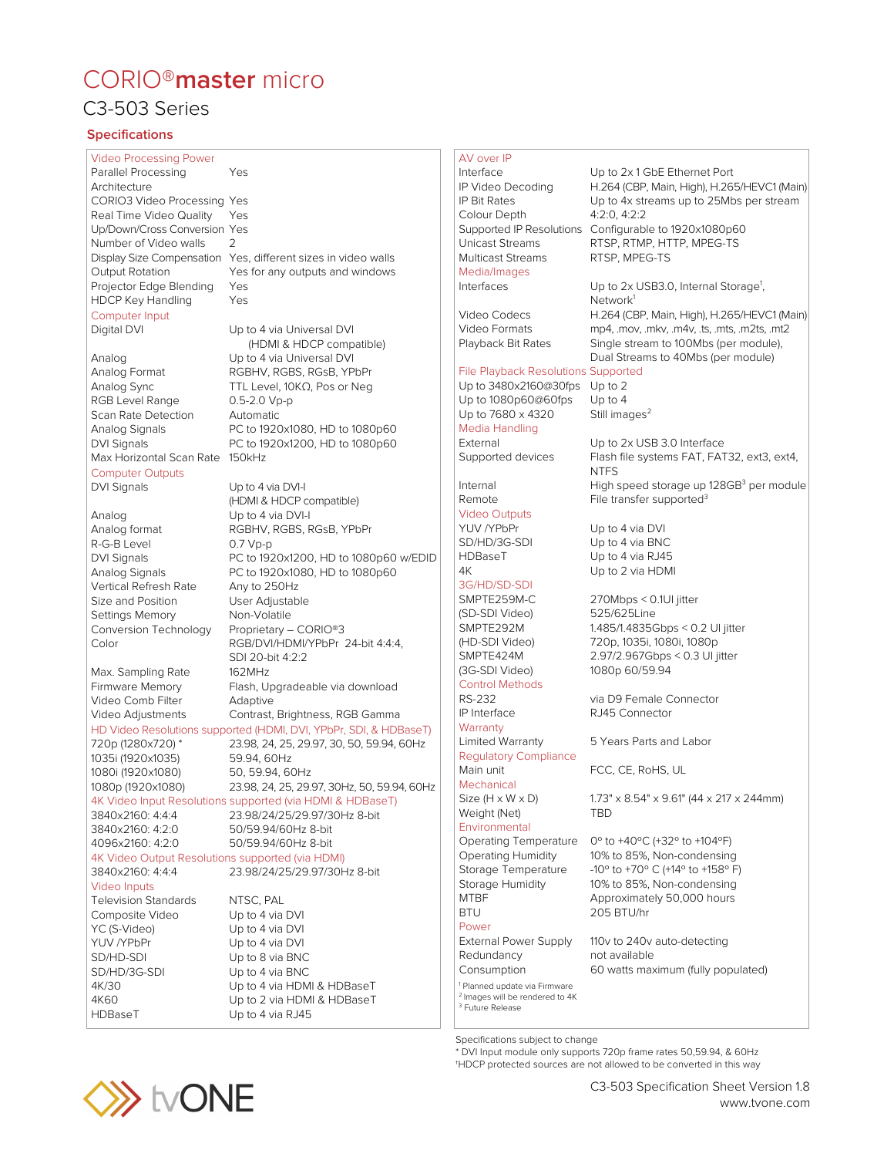# CORIO®**master** micro

### C3-503 Series

#### **Specifications**

Video Processing Power Parallel Processing Yes Architecture CORIO3 Video Processing Yes Real Time Video Quality Yes Up/Down/Cross Conversion Yes Number of Video walls 2 Projector Edge Blending Yes HDCP Key Handling Yes Computer Input<br>Digital DVI Analog Up to 4 via Universal DVI Analog Format RGBHV, RGBS, RGsB, YPbPr Analog Sync TTL Level, 10KΩ, Pos or Neg

RGB Level Range 0.5-2.0 Vp-p Scan Rate Detection Automatic Max Horizontal Scan Rate 150kHz

### Computer Outputs

DVI Signals Up to 4 via DVI-I Analog<br>
Analog format<br>
RGBHV, RGBS, R R-G-B Level 0.7 Vp-p Vertical Refresh Rate Any to 250Hz Size and Position User Adjustable Settings Memory Non-Volatile Conversion Technology Proprietary – CORIO®3 Max. Sampling Rate 162MHz Video Comb Filter Adaptive

1035i (1920x1035) 59.94, 60Hz 1080i (1920x1080)

3840x2160: 4:4:4 23.98/24/25/29.97/30Hz 8-bit 3840x2160: 4:2:0 50/59.94/60Hz 8-bit 4096x2160: 4:2:0 50/59.94/60Hz 8-bit

4K Video Output Resolutions supported (via HDMI) 3840x2160: 4:4:4 23.98/24/25/29.97/30Hz 8-bit

Video Inputs Television Standards MTSC, PAL<br>
Composite Video Up to 4 via DVI Composite Video YC (S-Video) Up to 4 via DVI YUV /YPbPr Up to 4 via DVI HDBaseT Up to 4 via RJ45

Display Size Compensation Yes, different sizes in video walls Output Rotation Yes for any outputs and windows

Up to 4 via Universal DVI (HDMI & HDCP compatible) Analog Signals PC to 1920x1080, HD to 1080p60 DVI Signals PC to 1920x1200, HD to 1080p60

(HDMI & HDCP compatible) RGBHV, RGBS, RGsB, YPbPr DVI Signals PC to 1920x1200, HD to 1080p60 w/EDID Analog Signals PC to 1920x1080, HD to 1080p60 Color RGB/DVI/HDMI/YPbPr 24-bit 4:4:4, SDI 20-bit 4:2:2 Firmware Memory Flash, Upgradeable via download Video Adjustments Contrast, Brightness, RGB Gamma HD Video Resolutions supported (HDMI, DVI, YPbPr, SDI, & HDBaseT) 720p (1280x720) \* 23.98, 24, 25, 29.97, 30, 50, 59.94, 60Hz 1080p (1920x1080) 23.98, 24, 25, 29.97, 30Hz, 50, 59.94, 60Hz 4K Video Input Resolutions supported (via HDMI & HDBaseT)

SD/HD-SDI Up to 8 via BNC<br>SD/HD/3G-SDI Up to 4 via BNC Up to 4 via BNC 4K/30 Up to 4 via HDMI & HDBaseT 4K60 Up to 2 via HDMI & HDBaseT

#### AV over IP

Interface Up to 2x 1 GbE Ethernet Port H.264 (CBP, Main, High), H.265/HEVC1 (Main) IP Bit Rates Up to 4x streams up to 25Mbs per stream Colour Depth 4:2:0, 4:2:2 Supported IP Resolutions Configurable to 1920x1080p60 Unicast Streams RTSP, RTMP, HTTP, MPEG-TS Multicast Streams RTSP, MPEG-TS Media/Images Interfaces Up to 2x USB3.0, Internal Storage<sup>1</sup>, Network<sup>1</sup> Video Codecs H.264 (CBP, Main, High), H.265/HEVC1 (Main)<br>Video Formats mp4. mov. mkv. m4v. ts. mts. m2ts. mt2 Video Formats mp4, .mov, .mkv, .m4v, .ts, .mts, .m2ts, .mt2<br>Playback Bit Rates Single stream to 100Mbs (per module), Single stream to 100Mbs (per module), Dual Streams to 40Mbs (per module) File Playback Resolutions Supported Up to 3480x2160@30fps Up to 2 Up to 1080p60@60fps Up to 4 Up to  $7680 \times 4320$  Still images<sup>2</sup> Media Handling External Up to 2x USB 3.0 Interface Supported devices Flash file systems FAT, FAT32, ext3, ext4, NTFS Internal High speed storage up 128GB<sup>3</sup> per module Remote File transfer supported<sup>3</sup> Video Outputs<br>YUV /YPbPr Up to 4 via DVI SD/HD/3G-SDI Up to 4 via BNC<br>HDBaseT Up to 4 via RJ45 Up to 4 via RJ45 4K Up to 2 via HDMI 3G/HD/SD-SDI<br>SMPTE259M-C 270Mbps < 0.1UI jitter (SD-SDI Video) 525/625Line SMPTE292M 1.485/1.4835Gbps < 0.2 UI jitter (HD-SDI Video) 720p, 1035i, 1080i, 1080p SMPTE424M 2.97/2.967Gbps < 0.3 UI jitter (3G-SDI Video) 1080p 60/59.94 Control Methods<br>RS-232 RS-232 via D9 Female Connector<br>
IP Interface RJ45 Connector RJ45 Connector **Warranty** Limited Warranty 5 Years Parts and Labor Regulatory Compliance Main unit FCC, CE, RoHS, UL Mechanical Size (H x W x D) 1.73" x 8.54" x 9.61" (44 x 217 x 244mm) Weight (Net) TBD Environmental Operating Temperature 0º to +40ºC (+32º to +104ºF) Operating Humidity 10% to 85%, Non-condensing Storage Temperature -10° to +70° C (+14° to +158° F) Storage Humidity 10% to 85%, Non-condensing Approximately 50,000 hours BTU 205 BTU/hr Power External Power Supply 110v to 240v auto-detecting Redundancy not available Consumption 60 watts maximum (fully populated) <sup>1</sup> Planned update via Firmware <sup>2</sup> Images will be rendered to 4K <sup>3</sup> Future Release

Specifications subject to change

\* DVI Input module only supports 720p frame rates 50,59.94, & 60Hz †HDCP protected sources are not allowed to be converted in this way